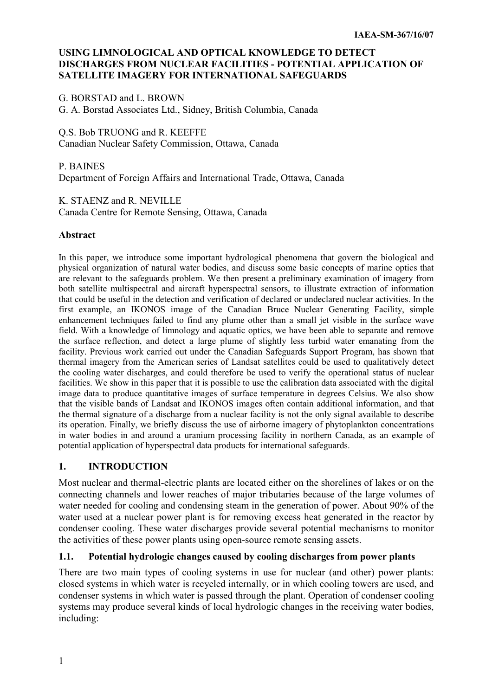### **USING LIMNOLOGICAL AND OPTICAL KNOWLEDGE TO DETECT DISCHARGES FROM NUCLEAR FACILITIES - POTENTIAL APPLICATION OF SATELLITE IMAGERY FOR INTERNATIONAL SAFEGUARDS**

G. BORSTAD and L. BROWN G. A. Borstad Associates Ltd., Sidney, British Columbia, Canada

Q.S. Bob TRUONG and R. KEEFFE Canadian Nuclear Safety Commission, Ottawa, Canada

P. BAINES Department of Foreign Affairs and International Trade, Ottawa, Canada

K. STAENZ and R. NEVILLE Canada Centre for Remote Sensing, Ottawa, Canada

### **Abstract**

In this paper, we introduce some important hydrological phenomena that govern the biological and physical organization of natural water bodies, and discuss some basic concepts of marine optics that are relevant to the safeguards problem. We then present a preliminary examination of imagery from both satellite multispectral and aircraft hyperspectral sensors, to illustrate extraction of information that could be useful in the detection and verification of declared or undeclared nuclear activities. In the first example, an IKONOS image of the Canadian Bruce Nuclear Generating Facility, simple enhancement techniques failed to find any plume other than a small jet visible in the surface wave field. With a knowledge of limnology and aquatic optics, we have been able to separate and remove the surface reflection, and detect a large plume of slightly less turbid water emanating from the facility. Previous work carried out under the Canadian Safeguards Support Program, has shown that thermal imagery from the American series of Landsat satellites could be used to qualitatively detect the cooling water discharges, and could therefore be used to verify the operational status of nuclear facilities. We show in this paper that it is possible to use the calibration data associated with the digital image data to produce quantitative images of surface temperature in degrees Celsius. We also show that the visible bands of Landsat and IKONOS images often contain additional information, and that the thermal signature of a discharge from a nuclear facility is not the only signal available to describe its operation. Finally, we briefly discuss the use of airborne imagery of phytoplankton concentrations in water bodies in and around a uranium processing facility in northern Canada, as an example of potential application of hyperspectral data products for international safeguards.

### **1. INTRODUCTION**

Most nuclear and thermal-electric plants are located either on the shorelines of lakes or on the connecting channels and lower reaches of major tributaries because of the large volumes of water needed for cooling and condensing steam in the generation of power. About 90% of the water used at a nuclear power plant is for removing excess heat generated in the reactor by condenser cooling. These water discharges provide several potential mechanisms to monitor the activities of these power plants using open-source remote sensing assets.

### **1.1. Potential hydrologic changes caused by cooling discharges from power plants**

There are two main types of cooling systems in use for nuclear (and other) power plants: closed systems in which water is recycled internally, or in which cooling towers are used, and condenser systems in which water is passed through the plant. Operation of condenser cooling systems may produce several kinds of local hydrologic changes in the receiving water bodies, including: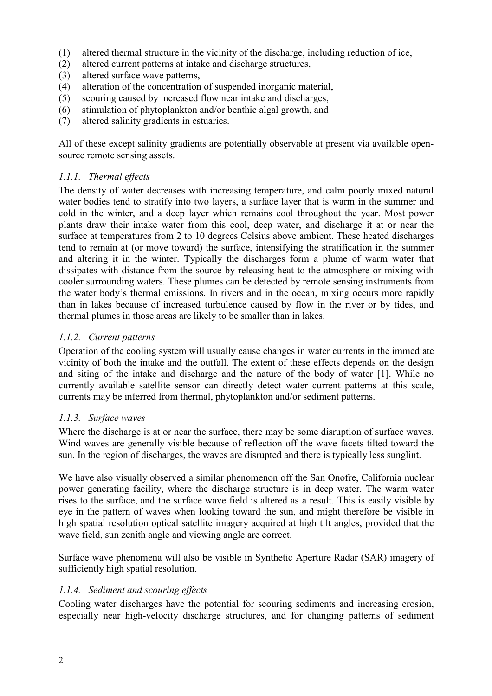- (1) altered thermal structure in the vicinity of the discharge, including reduction of ice,
- (2) altered current patterns at intake and discharge structures,
- (3) altered surface wave patterns,
- (4) alteration of the concentration of suspended inorganic material,
- (5) scouring caused by increased flow near intake and discharges,
- (6) stimulation of phytoplankton and/or benthic algal growth, and
- (7) altered salinity gradients in estuaries.

All of these except salinity gradients are potentially observable at present via available opensource remote sensing assets.

### *1.1.1. Thermal effects*

The density of water decreases with increasing temperature, and calm poorly mixed natural water bodies tend to stratify into two layers, a surface layer that is warm in the summer and cold in the winter, and a deep layer which remains cool throughout the year. Most power plants draw their intake water from this cool, deep water, and discharge it at or near the surface at temperatures from 2 to 10 degrees Celsius above ambient. These heated discharges tend to remain at (or move toward) the surface, intensifying the stratification in the summer and altering it in the winter. Typically the discharges form a plume of warm water that dissipates with distance from the source by releasing heat to the atmosphere or mixing with cooler surrounding waters. These plumes can be detected by remote sensing instruments from the water body's thermal emissions. In rivers and in the ocean, mixing occurs more rapidly than in lakes because of increased turbulence caused by flow in the river or by tides, and thermal plumes in those areas are likely to be smaller than in lakes.

### *1.1.2. Current patterns*

Operation of the cooling system will usually cause changes in water currents in the immediate vicinity of both the intake and the outfall. The extent of these effects depends on the design and siting of the intake and discharge and the nature of the body of water [1]. While no currently available satellite sensor can directly detect water current patterns at this scale, currents may be inferred from thermal, phytoplankton and/or sediment patterns.

### *1.1.3. Surface waves*

Where the discharge is at or near the surface, there may be some disruption of surface waves. Wind waves are generally visible because of reflection off the wave facets tilted toward the sun. In the region of discharges, the waves are disrupted and there is typically less sunglint.

We have also visually observed a similar phenomenon off the San Onofre, California nuclear power generating facility, where the discharge structure is in deep water. The warm water rises to the surface, and the surface wave field is altered as a result. This is easily visible by eye in the pattern of waves when looking toward the sun, and might therefore be visible in high spatial resolution optical satellite imagery acquired at high tilt angles, provided that the wave field, sun zenith angle and viewing angle are correct.

Surface wave phenomena will also be visible in Synthetic Aperture Radar (SAR) imagery of sufficiently high spatial resolution.

### *1.1.4. Sediment and scouring effects*

Cooling water discharges have the potential for scouring sediments and increasing erosion, especially near high-velocity discharge structures, and for changing patterns of sediment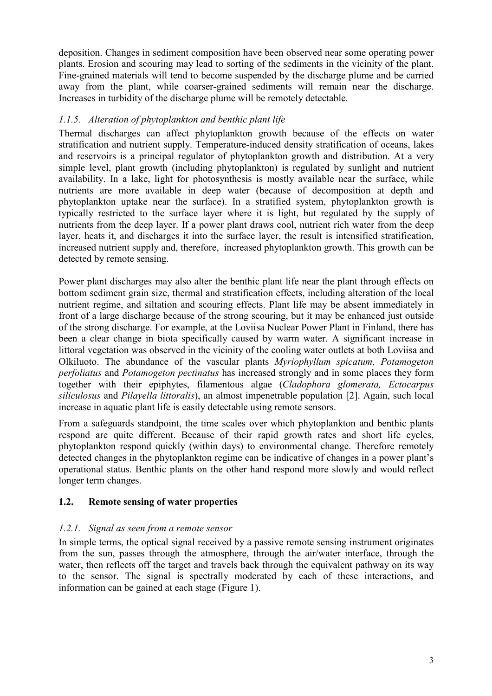deposition. Changes in sediment composition have been observed near some operating power plants. Erosion and scouring may lead to sorting of the sediments in the vicinity of the plant. Fine-grained materials will tend to become suspended by the discharge plume and be carried away from the plant, while coarser-grained sediments will remain near the discharge. Increases in turbidity of the discharge plume will be remotely detectable.

## *1.1.5. Alteration of phytoplankton and benthic plant life*

Thermal discharges can affect phytoplankton growth because of the effects on water stratification and nutrient supply. Temperature-induced density stratification of oceans, lakes and reservoirs is a principal regulator of phytoplankton growth and distribution. At a very simple level, plant growth (including phytoplankton) is regulated by sunlight and nutrient availability. In a lake, light for photosynthesis is mostly available near the surface, while nutrients are more available in deep water (because of decomposition at depth and phytoplankton uptake near the surface). In a stratified system, phytoplankton growth is typically restricted to the surface layer where it is light, but regulated by the supply of nutrients from the deep layer. If a power plant draws cool, nutrient rich water from the deep layer, heats it, and discharges it into the surface layer, the result is intensified stratification, increased nutrient supply and, therefore, increased phytoplankton growth. This growth can be detected by remote sensing.

Power plant discharges may also alter the benthic plant life near the plant through effects on bottom sediment grain size, thermal and stratification effects, including alteration of the local nutrient regime, and siltation and scouring effects. Plant life may be absent immediately in front of a large discharge because of the strong scouring, but it may be enhanced just outside of the strong discharge. For example, at the Loviisa Nuclear Power Plant in Finland, there has been a clear change in biota specifically caused by warm water. A significant increase in littoral vegetation was observed in the vicinity of the cooling water outlets at both Loviisa and Olkiluoto. The abundance of the vascular plants *Myriophyllum spicatum, Potamogeton perfoliatus* and *Potamogeton pectinatus* has increased strongly and in some places they form together with their epiphytes, filamentous algae (*Cladophora glomerata, Ectocarpus siliculosus* and *Pilayella littoralis*), an almost impenetrable population [2]. Again, such local increase in aquatic plant life is easily detectable using remote sensors.

From a safeguards standpoint, the time scales over which phytoplankton and benthic plants respond are quite different. Because of their rapid growth rates and short life cycles, phytoplankton respond quickly (within days) to environmental change. Therefore remotely detected changes in the phytoplankton regime can be indicative of changes in a power plant's operational status. Benthic plants on the other hand respond more slowly and would reflect longer term changes.

### **1.2. Remote sensing of water properties**

### *1.2.1. Signal as seen from a remote sensor*

In simple terms, the optical signal received by a passive remote sensing instrument originates from the sun, passes through the atmosphere, through the air/water interface, through the water, then reflects off the target and travels back through the equivalent pathway on its way to the sensor. The signal is spectrally moderated by each of these interactions, and information can be gained at each stage (Figure 1).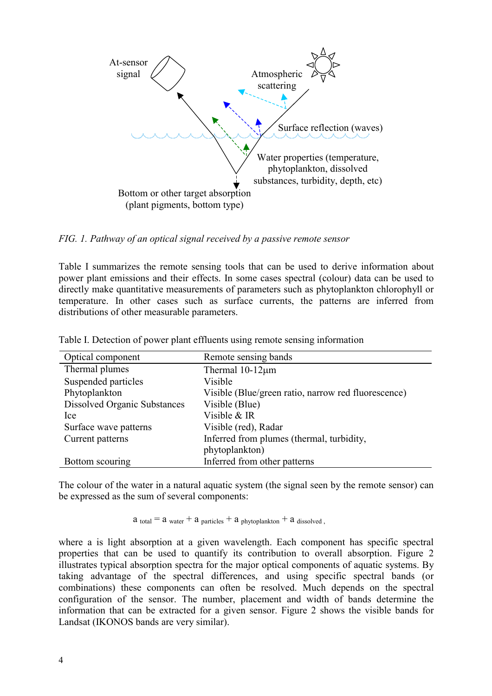

*FIG. 1. Pathway of an optical signal received by a passive remote sensor* 

Table I summarizes the remote sensing tools that can be used to derive information about power plant emissions and their effects. In some cases spectral (colour) data can be used to directly make quantitative measurements of parameters such as phytoplankton chlorophyll or temperature. In other cases such as surface currents, the patterns are inferred from distributions of other measurable parameters.

| Optical component                   | Remote sensing bands                                |
|-------------------------------------|-----------------------------------------------------|
| Thermal plumes                      | Thermal $10-12\mu m$                                |
| Suspended particles                 | Visible                                             |
| Phytoplankton                       | Visible (Blue/green ratio, narrow red fluorescence) |
| <b>Dissolved Organic Substances</b> | Visible (Blue)                                      |
| Ice                                 | Visible & IR                                        |
| Surface wave patterns               | Visible (red), Radar                                |
| Current patterns                    | Inferred from plumes (thermal, turbidity,           |
|                                     | phytoplankton)                                      |
| Bottom scouring                     | Inferred from other patterns                        |

Table I. Detection of power plant effluents using remote sensing information

The colour of the water in a natural aquatic system (the signal seen by the remote sensor) can be expressed as the sum of several components:

 $a_{total} = a_{water} + a_{particles} + a_{phytoplankton} + a_{dissolved}$ 

where a is light absorption at a given wavelength. Each component has specific spectral properties that can be used to quantify its contribution to overall absorption. Figure 2 illustrates typical absorption spectra for the major optical components of aquatic systems. By taking advantage of the spectral differences, and using specific spectral bands (or combinations) these components can often be resolved. Much depends on the spectral configuration of the sensor. The number, placement and width of bands determine the information that can be extracted for a given sensor. Figure 2 shows the visible bands for Landsat (IKONOS bands are very similar).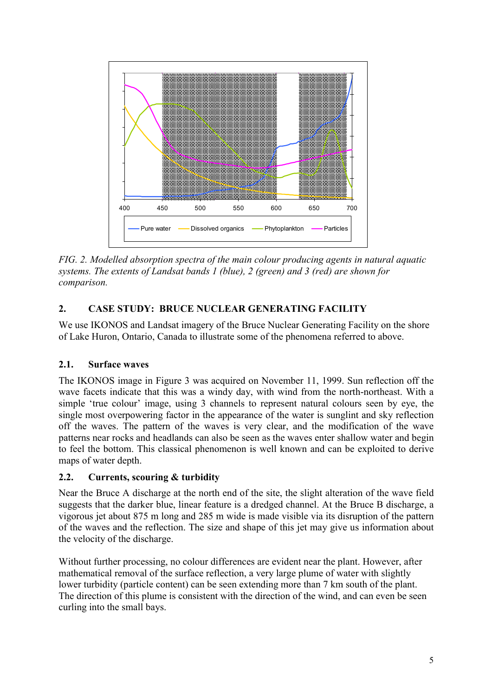

*FIG. 2. Modelled absorption spectra of the main colour producing agents in natural aquatic systems. The extents of Landsat bands 1 (blue), 2 (green) and 3 (red) are shown for comparison.* 

# **2. CASE STUDY: BRUCE NUCLEAR GENERATING FACILITY**

We use IKONOS and Landsat imagery of the Bruce Nuclear Generating Facility on the shore of Lake Huron, Ontario, Canada to illustrate some of the phenomena referred to above.

# **2.1. Surface waves**

The IKONOS image in Figure 3 was acquired on November 11, 1999. Sun reflection off the wave facets indicate that this was a windy day, with wind from the north-northeast. With a simple 'true colour' image, using 3 channels to represent natural colours seen by eye, the single most overpowering factor in the appearance of the water is sunglint and sky reflection off the waves. The pattern of the waves is very clear, and the modification of the wave patterns near rocks and headlands can also be seen as the waves enter shallow water and begin to feel the bottom. This classical phenomenon is well known and can be exploited to derive maps of water depth.

# **2.2. Currents, scouring & turbidity**

Near the Bruce A discharge at the north end of the site, the slight alteration of the wave field suggests that the darker blue, linear feature is a dredged channel. At the Bruce B discharge, a vigorous jet about 875 m long and 285 m wide is made visible via its disruption of the pattern of the waves and the reflection. The size and shape of this jet may give us information about the velocity of the discharge.

Without further processing, no colour differences are evident near the plant. However, after mathematical removal of the surface reflection, a very large plume of water with slightly lower turbidity (particle content) can be seen extending more than 7 km south of the plant. The direction of this plume is consistent with the direction of the wind, and can even be seen curling into the small bays.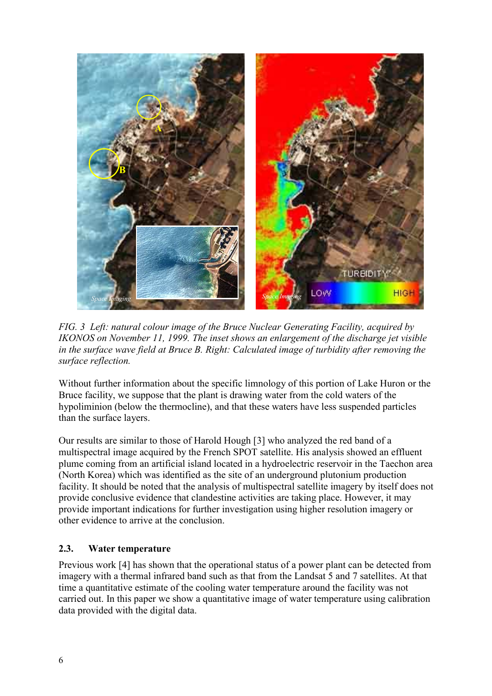

*FIG. 3 Left: natural colour image of the Bruce Nuclear Generating Facility, acquired by IKONOS on November 11, 1999. The inset shows an enlargement of the discharge jet visible in the surface wave field at Bruce B. Right: Calculated image of turbidity after removing the surface reflection.* 

Without further information about the specific limnology of this portion of Lake Huron or the Bruce facility, we suppose that the plant is drawing water from the cold waters of the hypoliminion (below the thermocline), and that these waters have less suspended particles than the surface layers.

Our results are similar to those of Harold Hough [3] who analyzed the red band of a multispectral image acquired by the French SPOT satellite. His analysis showed an effluent plume coming from an artificial island located in a hydroelectric reservoir in the Taechon area (North Korea) which was identified as the site of an underground plutonium production facility. It should be noted that the analysis of multispectral satellite imagery by itself does not provide conclusive evidence that clandestine activities are taking place. However, it may provide important indications for further investigation using higher resolution imagery or other evidence to arrive at the conclusion.

### **2.3. Water temperature**

Previous work [4] has shown that the operational status of a power plant can be detected from imagery with a thermal infrared band such as that from the Landsat 5 and 7 satellites. At that time a quantitative estimate of the cooling water temperature around the facility was not carried out. In this paper we show a quantitative image of water temperature using calibration data provided with the digital data.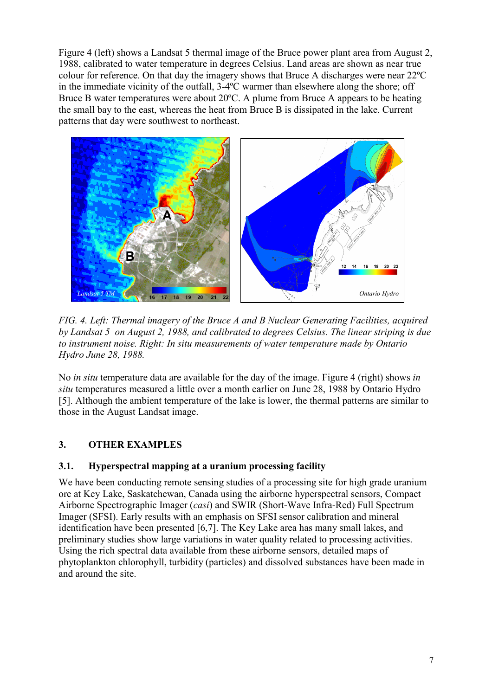Figure 4 (left) shows a Landsat 5 thermal image of the Bruce power plant area from August 2, 1988, calibrated to water temperature in degrees Celsius. Land areas are shown as near true colour for reference. On that day the imagery shows that Bruce A discharges were near 22ºC in the immediate vicinity of the outfall, 3-4ºC warmer than elsewhere along the shore; off Bruce B water temperatures were about 20ºC. A plume from Bruce A appears to be heating the small bay to the east, whereas the heat from Bruce B is dissipated in the lake. Current patterns that day were southwest to northeast.



*FIG. 4. Left: Thermal imagery of the Bruce A and B Nuclear Generating Facilities, acquired by Landsat 5 on August 2, 1988, and calibrated to degrees Celsius. The linear striping is due to instrument noise. Right: In situ measurements of water temperature made by Ontario Hydro June 28, 1988.* 

No *in situ* temperature data are available for the day of the image. Figure 4 (right) shows *in situ* temperatures measured a little over a month earlier on June 28, 1988 by Ontario Hydro [5]. Although the ambient temperature of the lake is lower, the thermal patterns are similar to those in the August Landsat image.

# **3. OTHER EXAMPLES**

### **3.1. Hyperspectral mapping at a uranium processing facility**

We have been conducting remote sensing studies of a processing site for high grade uranium ore at Key Lake, Saskatchewan, Canada using the airborne hyperspectral sensors, Compact Airborne Spectrographic Imager (*casi*) and SWIR (Short-Wave Infra-Red) Full Spectrum Imager (SFSI). Early results with an emphasis on SFSI sensor calibration and mineral identification have been presented [6,7]. The Key Lake area has many small lakes, and preliminary studies show large variations in water quality related to processing activities. Using the rich spectral data available from these airborne sensors, detailed maps of phytoplankton chlorophyll, turbidity (particles) and dissolved substances have been made in and around the site.